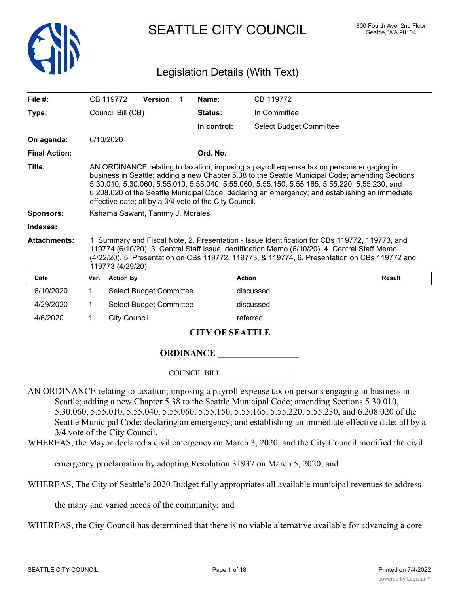

SEATTLE CITY COUNCIL 600 Fourth Ave. 2nd Floor

## Legislation Details (With Text)

| File $#$ :           |                                                                                                                                                                                                                                                                                                                                                                                                                                                          | CB 119772           | Version: 1                     |  | Name:                  | CB 119772                      |               |
|----------------------|----------------------------------------------------------------------------------------------------------------------------------------------------------------------------------------------------------------------------------------------------------------------------------------------------------------------------------------------------------------------------------------------------------------------------------------------------------|---------------------|--------------------------------|--|------------------------|--------------------------------|---------------|
|                      |                                                                                                                                                                                                                                                                                                                                                                                                                                                          |                     |                                |  |                        |                                |               |
| Type:                |                                                                                                                                                                                                                                                                                                                                                                                                                                                          | Council Bill (CB)   |                                |  | Status:                | In Committee                   |               |
|                      |                                                                                                                                                                                                                                                                                                                                                                                                                                                          |                     |                                |  | In control:            | <b>Select Budget Committee</b> |               |
| On agenda:           |                                                                                                                                                                                                                                                                                                                                                                                                                                                          | 6/10/2020           |                                |  |                        |                                |               |
| <b>Final Action:</b> |                                                                                                                                                                                                                                                                                                                                                                                                                                                          |                     |                                |  | Ord. No.               |                                |               |
| Title:               | AN ORDINANCE relating to taxation; imposing a payroll expense tax on persons engaging in<br>business in Seattle; adding a new Chapter 5.38 to the Seattle Municipal Code; amending Sections<br>5.30.010, 5.30.060, 5.55.010, 5.55.040, 5.55.060, 5.55.150, 5.55.165, 5.55.220, 5.55.230, and<br>6.208.020 of the Seattle Municipal Code; declaring an emergency; and establishing an immediate<br>effective date; all by a 3/4 vote of the City Council. |                     |                                |  |                        |                                |               |
| <b>Sponsors:</b>     | Kshama Sawant, Tammy J. Morales                                                                                                                                                                                                                                                                                                                                                                                                                          |                     |                                |  |                        |                                |               |
| Indexes:             |                                                                                                                                                                                                                                                                                                                                                                                                                                                          |                     |                                |  |                        |                                |               |
| <b>Attachments:</b>  | 1. Summary and Fiscal Note, 2. Presentation - Issue Identification for CBs 119772, 119773, and<br>119774 (6/10/20), 3. Central Staff Issue Identification Memo (6/10/20), 4. Central Staff Memo<br>(4/22/20), 5. Presentation on CBs 119772, 119773, & 119774, 6. Presentation on CBs 119772 and<br>119773 (4/29/20)                                                                                                                                     |                     |                                |  |                        |                                |               |
| <b>Date</b>          | Ver.                                                                                                                                                                                                                                                                                                                                                                                                                                                     | <b>Action By</b>    |                                |  |                        | <b>Action</b>                  | <b>Result</b> |
| 6/10/2020            | $\mathbf{1}$                                                                                                                                                                                                                                                                                                                                                                                                                                             |                     | <b>Select Budget Committee</b> |  |                        | discussed                      |               |
| 4/29/2020            | 1                                                                                                                                                                                                                                                                                                                                                                                                                                                        |                     | <b>Select Budget Committee</b> |  |                        | discussed                      |               |
| 4/6/2020             | $\mathbf{1}$                                                                                                                                                                                                                                                                                                                                                                                                                                             | <b>City Council</b> |                                |  |                        | referred                       |               |
|                      |                                                                                                                                                                                                                                                                                                                                                                                                                                                          |                     |                                |  | <b>CITY OF SEATTLE</b> |                                |               |
|                      |                                                                                                                                                                                                                                                                                                                                                                                                                                                          |                     |                                |  | <b>ORDINANCE</b>       |                                |               |

COUNCIL BILL \_\_\_\_\_\_\_\_\_\_\_\_\_\_\_\_\_\_

- AN ORDINANCE relating to taxation; imposing a payroll expense tax on persons engaging in business in Seattle; adding a new Chapter 5.38 to the Seattle Municipal Code; amending Sections 5.30.010, 5.30.060, 5.55.010, 5.55.040, 5.55.060, 5.55.150, 5.55.165, 5.55.220, 5.55.230, and 6.208.020 of the Seattle Municipal Code; declaring an emergency; and establishing an immediate effective date; all by a 3/4 vote of the City Council.
- WHEREAS, the Mayor declared a civil emergency on March 3, 2020, and the City Council modified the civil

emergency proclamation by adopting Resolution 31937 on March 5, 2020; and

WHEREAS, The City of Seattle's 2020 Budget fully appropriates all available municipal revenues to address

the many and varied needs of the community; and

WHEREAS, the City Council has determined that there is no viable alternative available for advancing a core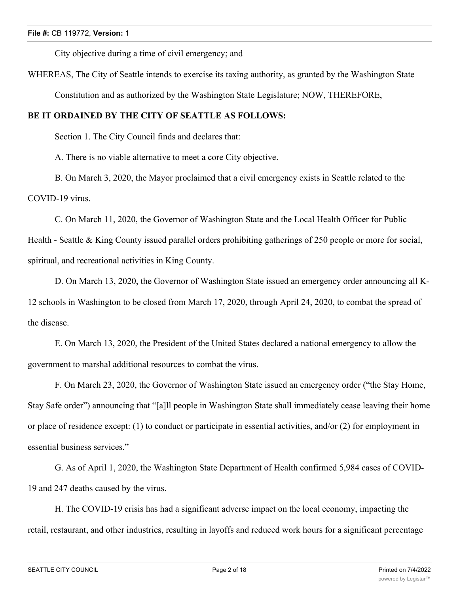City objective during a time of civil emergency; and

WHEREAS, The City of Seattle intends to exercise its taxing authority, as granted by the Washington State

Constitution and as authorized by the Washington State Legislature; NOW, THEREFORE,

## **BE IT ORDAINED BY THE CITY OF SEATTLE AS FOLLOWS:**

Section 1. The City Council finds and declares that:

A. There is no viable alternative to meet a core City objective.

B. On March 3, 2020, the Mayor proclaimed that a civil emergency exists in Seattle related to the COVID-19 virus.

C. On March 11, 2020, the Governor of Washington State and the Local Health Officer for Public Health - Seattle & King County issued parallel orders prohibiting gatherings of 250 people or more for social, spiritual, and recreational activities in King County.

D. On March 13, 2020, the Governor of Washington State issued an emergency order announcing all K-12 schools in Washington to be closed from March 17, 2020, through April 24, 2020, to combat the spread of the disease.

E. On March 13, 2020, the President of the United States declared a national emergency to allow the government to marshal additional resources to combat the virus.

F. On March 23, 2020, the Governor of Washington State issued an emergency order ("the Stay Home, Stay Safe order") announcing that "[a]ll people in Washington State shall immediately cease leaving their home or place of residence except: (1) to conduct or participate in essential activities, and/or (2) for employment in essential business services."

G. As of April 1, 2020, the Washington State Department of Health confirmed 5,984 cases of COVID-19 and 247 deaths caused by the virus.

H. The COVID-19 crisis has had a significant adverse impact on the local economy, impacting the retail, restaurant, and other industries, resulting in layoffs and reduced work hours for a significant percentage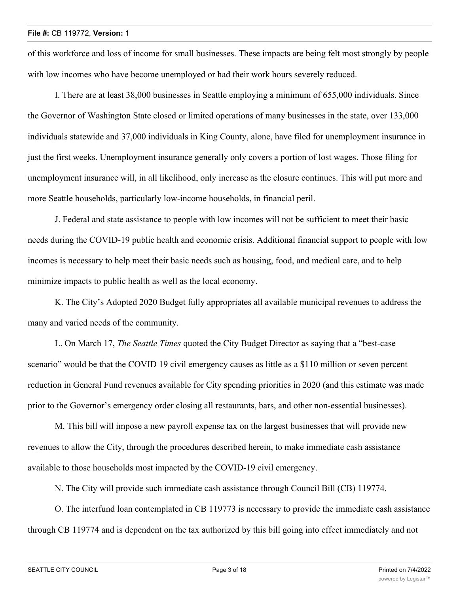of this workforce and loss of income for small businesses. These impacts are being felt most strongly by people with low incomes who have become unemployed or had their work hours severely reduced.

I. There are at least 38,000 businesses in Seattle employing a minimum of 655,000 individuals. Since the Governor of Washington State closed or limited operations of many businesses in the state, over 133,000 individuals statewide and 37,000 individuals in King County, alone, have filed for unemployment insurance in just the first weeks. Unemployment insurance generally only covers a portion of lost wages. Those filing for unemployment insurance will, in all likelihood, only increase as the closure continues. This will put more and more Seattle households, particularly low-income households, in financial peril.

J. Federal and state assistance to people with low incomes will not be sufficient to meet their basic needs during the COVID-19 public health and economic crisis. Additional financial support to people with low incomes is necessary to help meet their basic needs such as housing, food, and medical care, and to help minimize impacts to public health as well as the local economy.

K. The City's Adopted 2020 Budget fully appropriates all available municipal revenues to address the many and varied needs of the community.

L. On March 17, *The Seattle Times* quoted the City Budget Director as saying that a "best-case scenario" would be that the COVID 19 civil emergency causes as little as a \$110 million or seven percent reduction in General Fund revenues available for City spending priorities in 2020 (and this estimate was made prior to the Governor's emergency order closing all restaurants, bars, and other non-essential businesses).

M. This bill will impose a new payroll expense tax on the largest businesses that will provide new revenues to allow the City, through the procedures described herein, to make immediate cash assistance available to those households most impacted by the COVID-19 civil emergency.

N. The City will provide such immediate cash assistance through Council Bill (CB) 119774.

O. The interfund loan contemplated in CB 119773 is necessary to provide the immediate cash assistance through CB 119774 and is dependent on the tax authorized by this bill going into effect immediately and not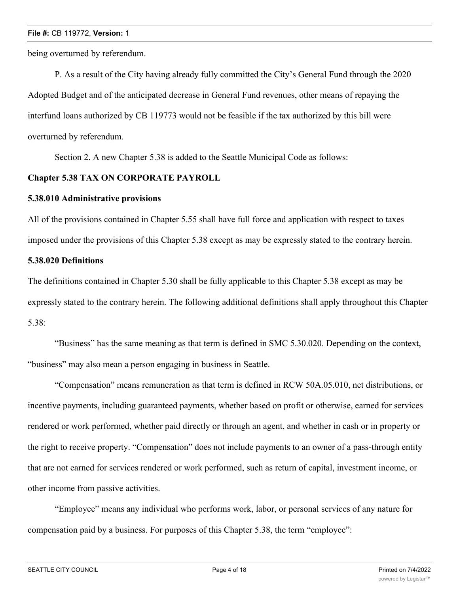being overturned by referendum.

P. As a result of the City having already fully committed the City's General Fund through the 2020 Adopted Budget and of the anticipated decrease in General Fund revenues, other means of repaying the interfund loans authorized by CB 119773 would not be feasible if the tax authorized by this bill were overturned by referendum.

Section 2. A new Chapter 5.38 is added to the Seattle Municipal Code as follows:

#### **Chapter 5.38 TAX ON CORPORATE PAYROLL**

#### **5.38.010 Administrative provisions**

All of the provisions contained in Chapter 5.55 shall have full force and application with respect to taxes imposed under the provisions of this Chapter 5.38 except as may be expressly stated to the contrary herein.

## **5.38.020 Definitions**

The definitions contained in Chapter 5.30 shall be fully applicable to this Chapter 5.38 except as may be expressly stated to the contrary herein. The following additional definitions shall apply throughout this Chapter 5.38:

"Business" has the same meaning as that term is defined in SMC 5.30.020. Depending on the context, "business" may also mean a person engaging in business in Seattle.

"Compensation" means remuneration as that term is defined in RCW 50A.05.010, net distributions, or incentive payments, including guaranteed payments, whether based on profit or otherwise, earned for services rendered or work performed, whether paid directly or through an agent, and whether in cash or in property or the right to receive property. "Compensation" does not include payments to an owner of a pass-through entity that are not earned for services rendered or work performed, such as return of capital, investment income, or other income from passive activities.

"Employee" means any individual who performs work, labor, or personal services of any nature for compensation paid by a business. For purposes of this Chapter 5.38, the term "employee":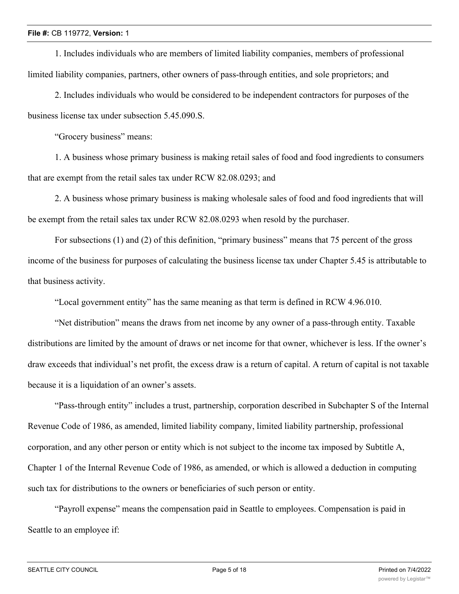1. Includes individuals who are members of limited liability companies, members of professional limited liability companies, partners, other owners of pass-through entities, and sole proprietors; and

2. Includes individuals who would be considered to be independent contractors for purposes of the business license tax under subsection 5.45.090.S.

"Grocery business" means:

1. A business whose primary business is making retail sales of food and food ingredients to consumers that are exempt from the retail sales tax under RCW 82.08.0293; and

2. A business whose primary business is making wholesale sales of food and food ingredients that will be exempt from the retail sales tax under RCW 82.08.0293 when resold by the purchaser.

For subsections (1) and (2) of this definition, "primary business" means that 75 percent of the gross income of the business for purposes of calculating the business license tax under Chapter 5.45 is attributable to that business activity.

"Local government entity" has the same meaning as that term is defined in RCW 4.96.010.

"Net distribution" means the draws from net income by any owner of a pass-through entity. Taxable distributions are limited by the amount of draws or net income for that owner, whichever is less. If the owner's draw exceeds that individual's net profit, the excess draw is a return of capital. A return of capital is not taxable because it is a liquidation of an owner's assets.

"Pass-through entity" includes a trust, partnership, corporation described in Subchapter S of the Internal Revenue Code of 1986, as amended, limited liability company, limited liability partnership, professional corporation, and any other person or entity which is not subject to the income tax imposed by Subtitle A, Chapter 1 of the Internal Revenue Code of 1986, as amended, or which is allowed a deduction in computing such tax for distributions to the owners or beneficiaries of such person or entity.

"Payroll expense" means the compensation paid in Seattle to employees. Compensation is paid in Seattle to an employee if: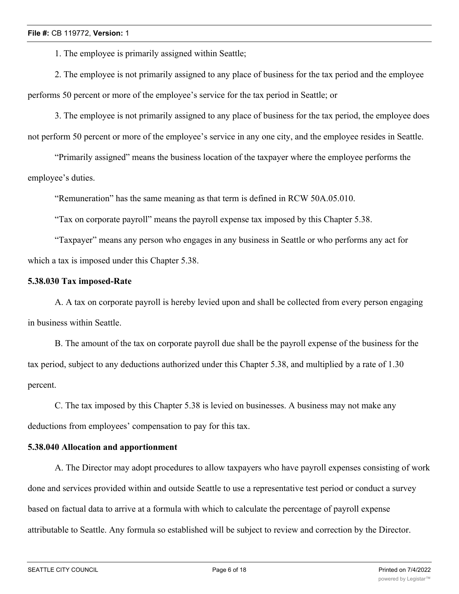1. The employee is primarily assigned within Seattle;

2. The employee is not primarily assigned to any place of business for the tax period and the employee

performs 50 percent or more of the employee's service for the tax period in Seattle; or

3. The employee is not primarily assigned to any place of business for the tax period, the employee does not perform 50 percent or more of the employee's service in any one city, and the employee resides in Seattle.

"Primarily assigned" means the business location of the taxpayer where the employee performs the employee's duties.

"Remuneration" has the same meaning as that term is defined in RCW 50A.05.010.

"Tax on corporate payroll" means the payroll expense tax imposed by this Chapter 5.38.

"Taxpayer" means any person who engages in any business in Seattle or who performs any act for which a tax is imposed under this Chapter 5.38.

### **5.38.030 Tax imposed-Rate**

A. A tax on corporate payroll is hereby levied upon and shall be collected from every person engaging in business within Seattle.

B. The amount of the tax on corporate payroll due shall be the payroll expense of the business for the tax period, subject to any deductions authorized under this Chapter 5.38, and multiplied by a rate of 1.30 percent.

C. The tax imposed by this Chapter 5.38 is levied on businesses. A business may not make any deductions from employees' compensation to pay for this tax.

## **5.38.040 Allocation and apportionment**

A. The Director may adopt procedures to allow taxpayers who have payroll expenses consisting of work done and services provided within and outside Seattle to use a representative test period or conduct a survey based on factual data to arrive at a formula with which to calculate the percentage of payroll expense attributable to Seattle. Any formula so established will be subject to review and correction by the Director.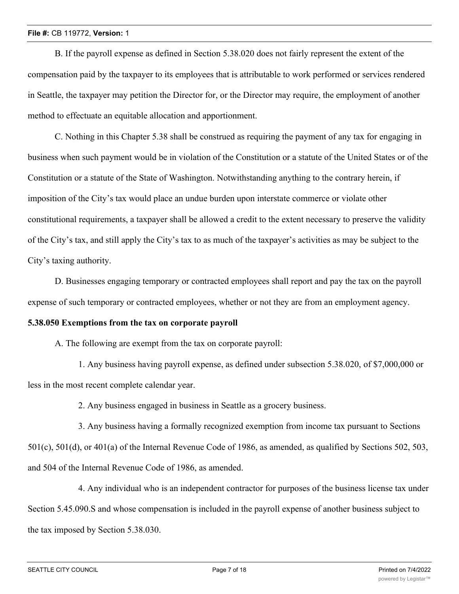B. If the payroll expense as defined in Section 5.38.020 does not fairly represent the extent of the compensation paid by the taxpayer to its employees that is attributable to work performed or services rendered in Seattle, the taxpayer may petition the Director for, or the Director may require, the employment of another method to effectuate an equitable allocation and apportionment.

C. Nothing in this Chapter 5.38 shall be construed as requiring the payment of any tax for engaging in business when such payment would be in violation of the Constitution or a statute of the United States or of the Constitution or a statute of the State of Washington. Notwithstanding anything to the contrary herein, if imposition of the City's tax would place an undue burden upon interstate commerce or violate other constitutional requirements, a taxpayer shall be allowed a credit to the extent necessary to preserve the validity of the City's tax, and still apply the City's tax to as much of the taxpayer's activities as may be subject to the City's taxing authority.

D. Businesses engaging temporary or contracted employees shall report and pay the tax on the payroll expense of such temporary or contracted employees, whether or not they are from an employment agency.

#### **5.38.050 Exemptions from the tax on corporate payroll**

A. The following are exempt from the tax on corporate payroll:

1. Any business having payroll expense, as defined under subsection 5.38.020, of \$7,000,000 or less in the most recent complete calendar year.

2. Any business engaged in business in Seattle as a grocery business.

3. Any business having a formally recognized exemption from income tax pursuant to Sections 501(c), 501(d), or 401(a) of the Internal Revenue Code of 1986, as amended, as qualified by Sections 502, 503, and 504 of the Internal Revenue Code of 1986, as amended.

4. Any individual who is an independent contractor for purposes of the business license tax under Section 5.45.090.S and whose compensation is included in the payroll expense of another business subject to the tax imposed by Section 5.38.030.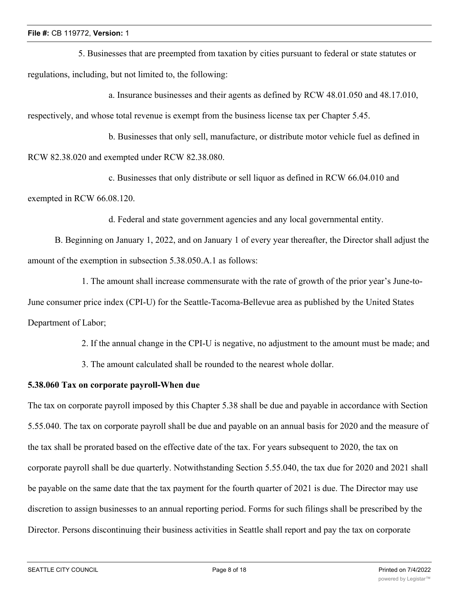5. Businesses that are preempted from taxation by cities pursuant to federal or state statutes or regulations, including, but not limited to, the following:

a. Insurance businesses and their agents as defined by RCW 48.01.050 and 48.17.010, respectively, and whose total revenue is exempt from the business license tax per Chapter 5.45.

b. Businesses that only sell, manufacture, or distribute motor vehicle fuel as defined in RCW 82.38.020 and exempted under RCW 82.38.080.

c. Businesses that only distribute or sell liquor as defined in RCW 66.04.010 and exempted in RCW 66.08.120.

d. Federal and state government agencies and any local governmental entity.

B. Beginning on January 1, 2022, and on January 1 of every year thereafter, the Director shall adjust the amount of the exemption in subsection 5.38.050.A.1 as follows:

1. The amount shall increase commensurate with the rate of growth of the prior year's June-to-June consumer price index (CPI-U) for the Seattle-Tacoma-Bellevue area as published by the United States Department of Labor;

2. If the annual change in the CPI-U is negative, no adjustment to the amount must be made; and

3. The amount calculated shall be rounded to the nearest whole dollar.

## **5.38.060 Tax on corporate payroll-When due**

The tax on corporate payroll imposed by this Chapter 5.38 shall be due and payable in accordance with Section 5.55.040. The tax on corporate payroll shall be due and payable on an annual basis for 2020 and the measure of the tax shall be prorated based on the effective date of the tax. For years subsequent to 2020, the tax on corporate payroll shall be due quarterly. Notwithstanding Section 5.55.040, the tax due for 2020 and 2021 shall be payable on the same date that the tax payment for the fourth quarter of 2021 is due. The Director may use discretion to assign businesses to an annual reporting period. Forms for such filings shall be prescribed by the Director. Persons discontinuing their business activities in Seattle shall report and pay the tax on corporate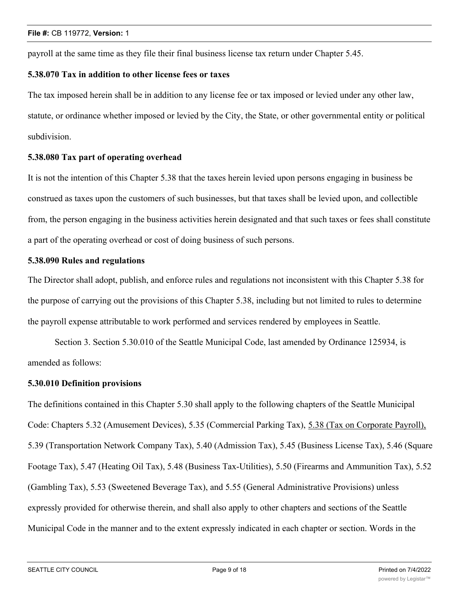payroll at the same time as they file their final business license tax return under Chapter 5.45.

## **5.38.070 Tax in addition to other license fees or taxes**

The tax imposed herein shall be in addition to any license fee or tax imposed or levied under any other law, statute, or ordinance whether imposed or levied by the City, the State, or other governmental entity or political subdivision.

### **5.38.080 Tax part of operating overhead**

It is not the intention of this Chapter 5.38 that the taxes herein levied upon persons engaging in business be construed as taxes upon the customers of such businesses, but that taxes shall be levied upon, and collectible from, the person engaging in the business activities herein designated and that such taxes or fees shall constitute a part of the operating overhead or cost of doing business of such persons.

## **5.38.090 Rules and regulations**

The Director shall adopt, publish, and enforce rules and regulations not inconsistent with this Chapter 5.38 for the purpose of carrying out the provisions of this Chapter 5.38, including but not limited to rules to determine the payroll expense attributable to work performed and services rendered by employees in Seattle.

Section 3. Section 5.30.010 of the Seattle Municipal Code, last amended by Ordinance 125934, is amended as follows:

#### **5.30.010 Definition provisions**

The definitions contained in this Chapter 5.30 shall apply to the following chapters of the Seattle Municipal Code: Chapters 5.32 (Amusement Devices), 5.35 (Commercial Parking Tax), 5.38 (Tax on Corporate Payroll), 5.39 (Transportation Network Company Tax), 5.40 (Admission Tax), 5.45 (Business License Tax), 5.46 (Square Footage Tax), 5.47 (Heating Oil Tax), 5.48 (Business Tax-Utilities), 5.50 (Firearms and Ammunition Tax), 5.52 (Gambling Tax), 5.53 (Sweetened Beverage Tax), and 5.55 (General Administrative Provisions) unless expressly provided for otherwise therein, and shall also apply to other chapters and sections of the Seattle Municipal Code in the manner and to the extent expressly indicated in each chapter or section. Words in the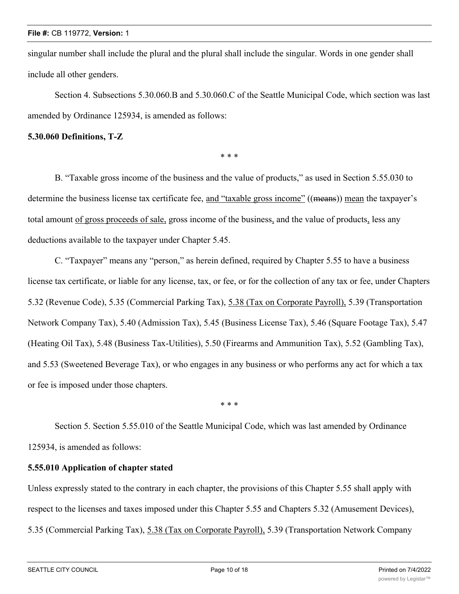singular number shall include the plural and the plural shall include the singular. Words in one gender shall include all other genders.

Section 4. Subsections 5.30.060.B and 5.30.060.C of the Seattle Municipal Code, which section was last amended by Ordinance 125934, is amended as follows:

### **5.30.060 Definitions, T-Z**

\* \* \*

B. "Taxable gross income of the business and the value of products," as used in Section 5.55.030 to determine the business license tax certificate fee, and "taxable gross income" ((means)) mean the taxpayer's total amount of gross proceeds of sale, gross income of the business, and the value of products, less any deductions available to the taxpayer under Chapter 5.45.

C. "Taxpayer" means any "person," as herein defined, required by Chapter 5.55 to have a business license tax certificate, or liable for any license, tax, or fee, or for the collection of any tax or fee, under Chapters 5.32 (Revenue Code), 5.35 (Commercial Parking Tax), 5.38 (Tax on Corporate Payroll), 5.39 (Transportation Network Company Tax), 5.40 (Admission Tax), 5.45 (Business License Tax), 5.46 (Square Footage Tax), 5.47 (Heating Oil Tax), 5.48 (Business Tax-Utilities), 5.50 (Firearms and Ammunition Tax), 5.52 (Gambling Tax), and 5.53 (Sweetened Beverage Tax), or who engages in any business or who performs any act for which a tax or fee is imposed under those chapters.

\* \* \*

Section 5. Section 5.55.010 of the Seattle Municipal Code, which was last amended by Ordinance 125934, is amended as follows:

## **5.55.010 Application of chapter stated**

Unless expressly stated to the contrary in each chapter, the provisions of this Chapter 5.55 shall apply with respect to the licenses and taxes imposed under this Chapter 5.55 and Chapters 5.32 (Amusement Devices), 5.35 (Commercial Parking Tax), 5.38 (Tax on Corporate Payroll), 5.39 (Transportation Network Company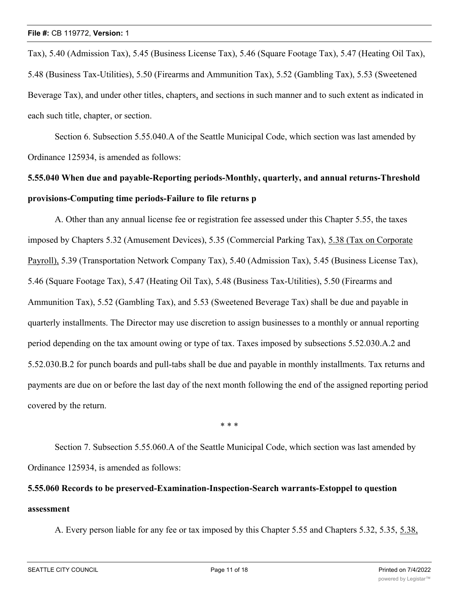Tax), 5.40 (Admission Tax), 5.45 (Business License Tax), 5.46 (Square Footage Tax), 5.47 (Heating Oil Tax), 5.48 (Business Tax-Utilities), 5.50 (Firearms and Ammunition Tax), 5.52 (Gambling Tax), 5.53 (Sweetened Beverage Tax), and under other titles, chapters, and sections in such manner and to such extent as indicated in each such title, chapter, or section.

Section 6. Subsection 5.55.040.A of the Seattle Municipal Code, which section was last amended by Ordinance 125934, is amended as follows:

## **5.55.040 When due and payable-Reporting periods-Monthly, quarterly, and annual returns-Threshold provisions-Computing time periods-Failure to file returns p**

A. Other than any annual license fee or registration fee assessed under this Chapter 5.55, the taxes imposed by Chapters 5.32 (Amusement Devices), 5.35 (Commercial Parking Tax), 5.38 (Tax on Corporate Payroll), 5.39 (Transportation Network Company Tax), 5.40 (Admission Tax), 5.45 (Business License Tax), 5.46 (Square Footage Tax), 5.47 (Heating Oil Tax), 5.48 (Business Tax-Utilities), 5.50 (Firearms and Ammunition Tax), 5.52 (Gambling Tax), and 5.53 (Sweetened Beverage Tax) shall be due and payable in quarterly installments. The Director may use discretion to assign businesses to a monthly or annual reporting period depending on the tax amount owing or type of tax. Taxes imposed by subsections 5.52.030.A.2 and 5.52.030.B.2 for punch boards and pull-tabs shall be due and payable in monthly installments. Tax returns and payments are due on or before the last day of the next month following the end of the assigned reporting period covered by the return.

\* \* \*

Section 7. Subsection 5.55.060.A of the Seattle Municipal Code, which section was last amended by Ordinance 125934, is amended as follows:

# **5.55.060 Records to be preserved-Examination-Inspection-Search warrants-Estoppel to question assessment**

A. Every person liable for any fee or tax imposed by this Chapter 5.55 and Chapters 5.32, 5.35, 5.38,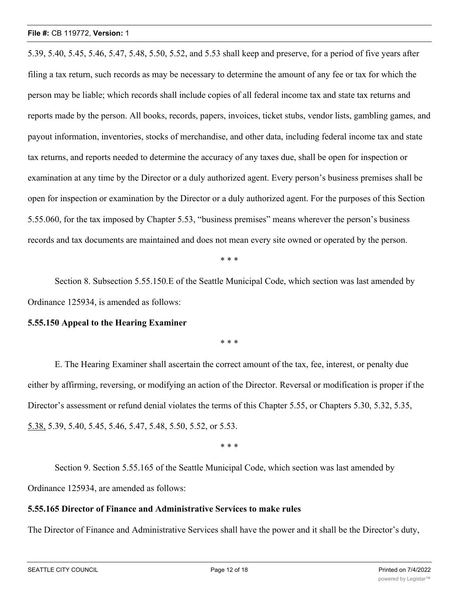5.39, 5.40, 5.45, 5.46, 5.47, 5.48, 5.50, 5.52, and 5.53 shall keep and preserve, for a period of five years after filing a tax return, such records as may be necessary to determine the amount of any fee or tax for which the person may be liable; which records shall include copies of all federal income tax and state tax returns and reports made by the person. All books, records, papers, invoices, ticket stubs, vendor lists, gambling games, and payout information, inventories, stocks of merchandise, and other data, including federal income tax and state tax returns, and reports needed to determine the accuracy of any taxes due, shall be open for inspection or examination at any time by the Director or a duly authorized agent. Every person's business premises shall be open for inspection or examination by the Director or a duly authorized agent. For the purposes of this Section 5.55.060, for the tax imposed by Chapter 5.53, "business premises" means wherever the person's business records and tax documents are maintained and does not mean every site owned or operated by the person.

\* \* \*

Section 8. Subsection 5.55.150.E of the Seattle Municipal Code, which section was last amended by Ordinance 125934, is amended as follows:

#### **5.55.150 Appeal to the Hearing Examiner**

\* \* \*

E. The Hearing Examiner shall ascertain the correct amount of the tax, fee, interest, or penalty due either by affirming, reversing, or modifying an action of the Director. Reversal or modification is proper if the Director's assessment or refund denial violates the terms of this Chapter 5.55, or Chapters 5.30, 5.32, 5.35, 5.38, 5.39, 5.40, 5.45, 5.46, 5.47, 5.48, 5.50, 5.52, or 5.53.

\* \* \*

Section 9. Section 5.55.165 of the Seattle Municipal Code, which section was last amended by Ordinance 125934, are amended as follows:

#### **5.55.165 Director of Finance and Administrative Services to make rules**

The Director of Finance and Administrative Services shall have the power and it shall be the Director's duty,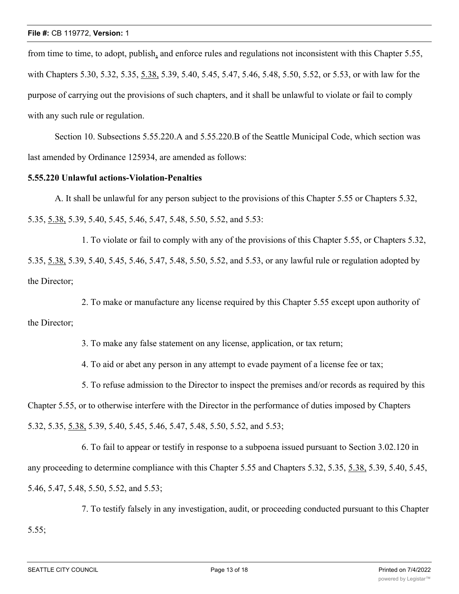from time to time, to adopt, publish, and enforce rules and regulations not inconsistent with this Chapter 5.55, with Chapters 5.30, 5.32, 5.35, 5.38, 5.39, 5.40, 5.45, 5.47, 5.46, 5.48, 5.50, 5.52, or 5.53, or with law for the purpose of carrying out the provisions of such chapters, and it shall be unlawful to violate or fail to comply with any such rule or regulation.

Section 10. Subsections 5.55.220.A and 5.55.220.B of the Seattle Municipal Code, which section was last amended by Ordinance 125934, are amended as follows:

#### **5.55.220 Unlawful actions-Violation-Penalties**

A. It shall be unlawful for any person subject to the provisions of this Chapter 5.55 or Chapters 5.32, 5.35, 5.38, 5.39, 5.40, 5.45, 5.46, 5.47, 5.48, 5.50, 5.52, and 5.53:

1. To violate or fail to comply with any of the provisions of this Chapter 5.55, or Chapters 5.32, 5.35, 5.38, 5.39, 5.40, 5.45, 5.46, 5.47, 5.48, 5.50, 5.52, and 5.53, or any lawful rule or regulation adopted by the Director;

2. To make or manufacture any license required by this Chapter 5.55 except upon authority of the Director;

3. To make any false statement on any license, application, or tax return;

4. To aid or abet any person in any attempt to evade payment of a license fee or tax;

5. To refuse admission to the Director to inspect the premises and/or records as required by this Chapter 5.55, or to otherwise interfere with the Director in the performance of duties imposed by Chapters 5.32, 5.35, 5.38, 5.39, 5.40, 5.45, 5.46, 5.47, 5.48, 5.50, 5.52, and 5.53;

6. To fail to appear or testify in response to a subpoena issued pursuant to Section 3.02.120 in any proceeding to determine compliance with this Chapter 5.55 and Chapters 5.32, 5.35, 5.38, 5.39, 5.40, 5.45, 5.46, 5.47, 5.48, 5.50, 5.52, and 5.53;

7. To testify falsely in any investigation, audit, or proceeding conducted pursuant to this Chapter 5.55;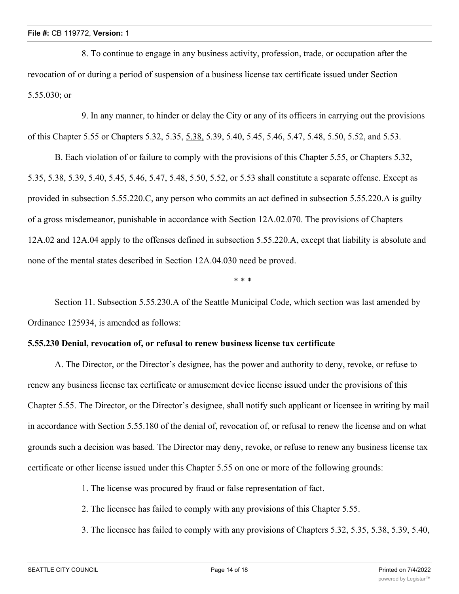8. To continue to engage in any business activity, profession, trade, or occupation after the revocation of or during a period of suspension of a business license tax certificate issued under Section 5.55.030; or

9. In any manner, to hinder or delay the City or any of its officers in carrying out the provisions of this Chapter 5.55 or Chapters 5.32, 5.35, 5.38, 5.39, 5.40, 5.45, 5.46, 5.47, 5.48, 5.50, 5.52, and 5.53.

B. Each violation of or failure to comply with the provisions of this Chapter 5.55, or Chapters 5.32, 5.35, 5.38, 5.39, 5.40, 5.45, 5.46, 5.47, 5.48, 5.50, 5.52, or 5.53 shall constitute a separate offense. Except as provided in subsection 5.55.220.C, any person who commits an act defined in subsection 5.55.220.A is guilty of a gross misdemeanor, punishable in accordance with Section 12A.02.070. The provisions of Chapters 12A.02 and 12A.04 apply to the offenses defined in subsection 5.55.220.A, except that liability is absolute and none of the mental states described in Section 12A.04.030 need be proved.

\* \* \*

Section 11. Subsection 5.55.230.A of the Seattle Municipal Code, which section was last amended by Ordinance 125934, is amended as follows:

## **5.55.230 Denial, revocation of, or refusal to renew business license tax certificate**

A. The Director, or the Director's designee, has the power and authority to deny, revoke, or refuse to renew any business license tax certificate or amusement device license issued under the provisions of this Chapter 5.55. The Director, or the Director's designee, shall notify such applicant or licensee in writing by mail in accordance with Section 5.55.180 of the denial of, revocation of, or refusal to renew the license and on what grounds such a decision was based. The Director may deny, revoke, or refuse to renew any business license tax certificate or other license issued under this Chapter 5.55 on one or more of the following grounds:

- 1. The license was procured by fraud or false representation of fact.
- 2. The licensee has failed to comply with any provisions of this Chapter 5.55.
- 3. The licensee has failed to comply with any provisions of Chapters 5.32, 5.35, 5.38, 5.39, 5.40,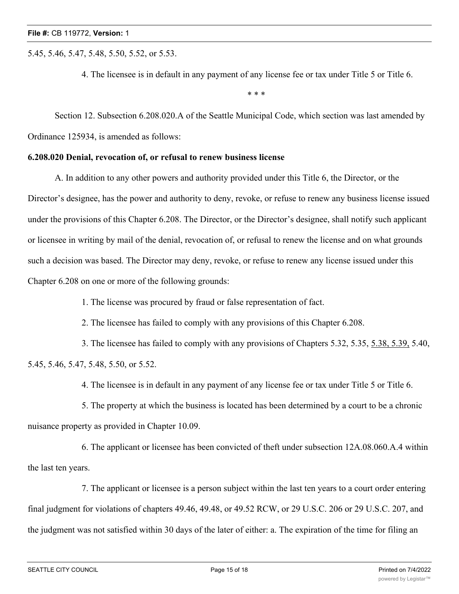5.45, 5.46, 5.47, 5.48, 5.50, 5.52, or 5.53.

4. The licensee is in default in any payment of any license fee or tax under Title 5 or Title 6.

\* \* \*

Section 12. Subsection 6.208.020.A of the Seattle Municipal Code, which section was last amended by Ordinance 125934, is amended as follows:

### **6.208.020 Denial, revocation of, or refusal to renew business license**

A. In addition to any other powers and authority provided under this Title 6, the Director, or the Director's designee, has the power and authority to deny, revoke, or refuse to renew any business license issued under the provisions of this Chapter 6.208. The Director, or the Director's designee, shall notify such applicant or licensee in writing by mail of the denial, revocation of, or refusal to renew the license and on what grounds such a decision was based. The Director may deny, revoke, or refuse to renew any license issued under this Chapter 6.208 on one or more of the following grounds:

1. The license was procured by fraud or false representation of fact.

2. The licensee has failed to comply with any provisions of this Chapter 6.208.

3. The licensee has failed to comply with any provisions of Chapters 5.32, 5.35, 5.38, 5.39, 5.40, 5.45, 5.46, 5.47, 5.48, 5.50, or 5.52.

4. The licensee is in default in any payment of any license fee or tax under Title 5 or Title 6.

5. The property at which the business is located has been determined by a court to be a chronic nuisance property as provided in Chapter 10.09.

6. The applicant or licensee has been convicted of theft under subsection 12A.08.060.A.4 within the last ten years.

7. The applicant or licensee is a person subject within the last ten years to a court order entering final judgment for violations of chapters 49.46, 49.48, or 49.52 RCW, or 29 U.S.C. 206 or 29 U.S.C. 207, and the judgment was not satisfied within 30 days of the later of either: a. The expiration of the time for filing an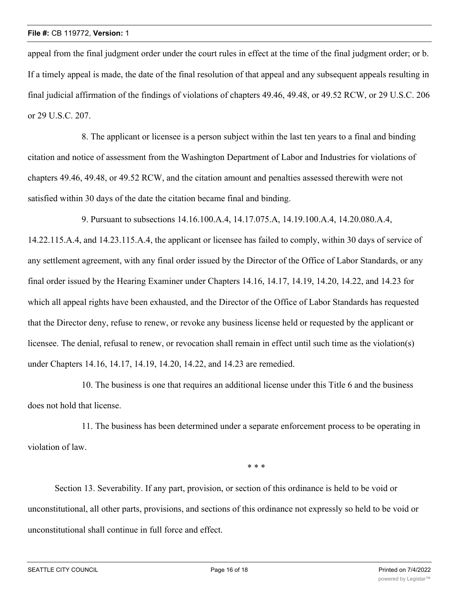appeal from the final judgment order under the court rules in effect at the time of the final judgment order; or b. If a timely appeal is made, the date of the final resolution of that appeal and any subsequent appeals resulting in final judicial affirmation of the findings of violations of chapters 49.46, 49.48, or 49.52 RCW, or 29 U.S.C. 206 or 29 U.S.C. 207.

8. The applicant or licensee is a person subject within the last ten years to a final and binding citation and notice of assessment from the Washington Department of Labor and Industries for violations of chapters 49.46, 49.48, or 49.52 RCW, and the citation amount and penalties assessed therewith were not satisfied within 30 days of the date the citation became final and binding.

9. Pursuant to subsections 14.16.100.A.4, 14.17.075.A, 14.19.100.A.4, 14.20.080.A.4, 14.22.115.A.4, and 14.23.115.A.4, the applicant or licensee has failed to comply, within 30 days of service of any settlement agreement, with any final order issued by the Director of the Office of Labor Standards, or any final order issued by the Hearing Examiner under Chapters 14.16, 14.17, 14.19, 14.20, 14.22, and 14.23 for which all appeal rights have been exhausted, and the Director of the Office of Labor Standards has requested that the Director deny, refuse to renew, or revoke any business license held or requested by the applicant or licensee. The denial, refusal to renew, or revocation shall remain in effect until such time as the violation(s) under Chapters 14.16, 14.17, 14.19, 14.20, 14.22, and 14.23 are remedied.

10. The business is one that requires an additional license under this Title 6 and the business does not hold that license.

11. The business has been determined under a separate enforcement process to be operating in violation of law.

\* \* \*

Section 13. Severability. If any part, provision, or section of this ordinance is held to be void or unconstitutional, all other parts, provisions, and sections of this ordinance not expressly so held to be void or unconstitutional shall continue in full force and effect.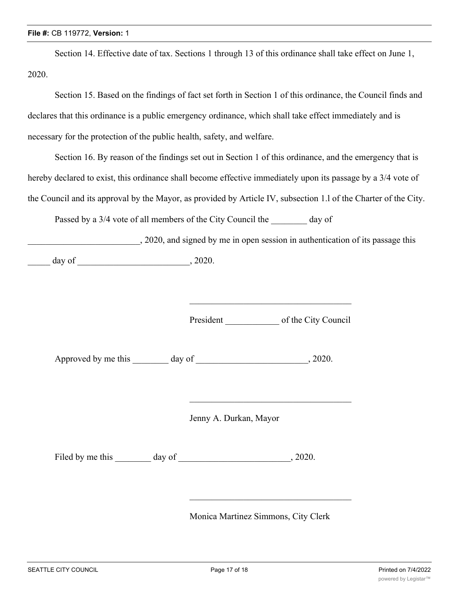Section 14. Effective date of tax. Sections 1 through 13 of this ordinance shall take effect on June 1, 2020.

Section 15. Based on the findings of fact set forth in Section 1 of this ordinance, the Council finds and declares that this ordinance is a public emergency ordinance, which shall take effect immediately and is necessary for the protection of the public health, safety, and welfare.

Section 16. By reason of the findings set out in Section 1 of this ordinance, and the emergency that is hereby declared to exist, this ordinance shall become effective immediately upon its passage by a 3/4 vote of the Council and its approval by the Mayor, as provided by Article IV, subsection 1.l of the Charter of the City.

Passed by a 3/4 vote of all members of the City Council the day of

\_\_\_\_\_\_\_\_\_\_\_\_\_\_\_\_\_\_\_\_\_\_\_\_\_, 2020, and signed by me in open session in authentication of its passage this \_\_\_\_\_ day of \_\_\_\_\_\_\_\_\_\_\_\_\_\_\_\_\_\_\_\_\_\_\_\_\_, 2020.

President \_\_\_\_\_\_\_\_\_\_\_\_ of the City Council

\_\_\_\_\_\_\_\_\_\_\_\_\_\_\_\_\_\_\_\_\_\_\_\_\_\_\_\_\_\_\_\_\_\_\_\_

Approved by me this day of the case of the case of the case of  $\alpha$ , 2020.

Jenny A. Durkan, Mayor

Filed by me this day of  $\qquad \qquad$ , 2020.

Monica Martinez Simmons, City Clerk